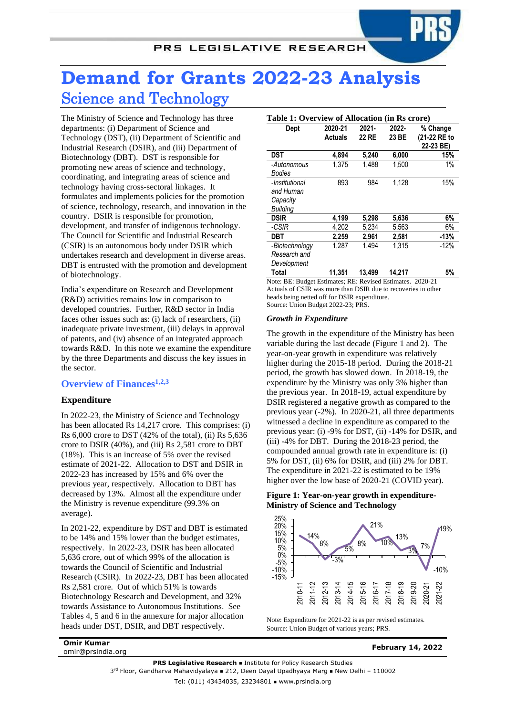# **Demand for Grants 2022-23 Analysis** Science and Technology

The Ministry of Science and Technology has three departments: (i) Department of Science and Technology (DST), (ii) Department of Scientific and Industrial Research (DSIR), and (iii) Department of Biotechnology (DBT). DST is responsible for promoting new areas of science and technology, coordinating, and integrating areas of science and technology having cross-sectoral linkages. It formulates and implements policies for the promotion of science, technology, research, and innovation in the country. DSIR is responsible for promotion, development, and transfer of indigenous technology. The Council for Scientific and Industrial Research (CSIR) is an autonomous body under DSIR which undertakes research and development in diverse areas. DBT is entrusted with the promotion and development of biotechnology.

India's expenditure on Research and Development (R&D) activities remains low in comparison to developed countries. Further, R&D sector in India faces other issues such as: (i) lack of researchers, (ii) inadequate private investment, (iii) delays in approval of patents, and (iv) absence of an integrated approach towards R&D. In this note we examine the expenditure by the three Departments and discuss the key issues in the sector.

# **Overview of Finances1,2,3**

# **Expenditure**

In 2022-23, the Ministry of Science and Technology has been allocated Rs 14,217 crore. This comprises: (i) Rs 6,000 crore to DST (42% of the total), (ii) Rs 5,636 crore to DSIR (40%), and (iii) Rs 2,581 crore to DBT (18%). This is an increase of 5% over the revised estimate of 2021-22. Allocation to DST and DSIR in 2022-23 has increased by 15% and 6% over the previous year, respectively. Allocation to DBT has decreased by 13%. Almost all the expenditure under the Ministry is revenue expenditure (99.3% on average).

In 2021-22, expenditure by DST and DBT is estimated to be 14% and 15% lower than the budget estimates, respectively. In 2022-23, DSIR has been allocated 5,636 crore, out of which 99% of the allocation is towards the Council of Scientific and Industrial Research (CSIR). In 2022-23, DBT has been allocated Rs 2,581 crore. Out of which 51% is towards Biotechnology Research and Development, and 32% towards Assistance to Autonomous Institutions. See Tables 4, 5 and 6 in the annexure for major allocation heads under DST, DSIR, and DBT respectively.

| Dept                                          | 2020-21        | $2021 -$ | 2022-  | % Change                  |
|-----------------------------------------------|----------------|----------|--------|---------------------------|
|                                               | <b>Actuals</b> | 22 RE    | 23 BE  | (21-22 RE to<br>22-23 BE) |
| DST                                           | 4,894          | 5.240    | 6,000  | 15%                       |
| -Autonomous<br>Bodies                         | 1,375          | 1.488    | 1,500  | 1%                        |
| -Institutional<br>and Human                   | 893            | 984      | 1.128  | 15%                       |
| Capacity<br><b>Building</b>                   |                |          |        |                           |
| <b>DSIR</b>                                   | 4,199          | 5,298    | 5,636  | 6%                        |
| -CSIR                                         | 4.202          | 5.234    | 5,563  | 6%                        |
| DBT                                           | 2,259          | 2,961    | 2,581  | $-13%$                    |
| -Biotechnology<br>Research and<br>Development | 1.287          | 1.494    | 1.315  | $-12%$                    |
| Total                                         | 11,351         | 13,499   | 14,217 | 5%                        |

Note: BE: Budget Estimates; RE: Revised Estimates. 2020-21 Actuals of CSIR was more than DSIR due to recoveries in other heads being netted off for DSIR expenditure. Source: Union Budget 2022-23; PRS.

#### *Growth in Expenditure*

The growth in the expenditure of the Ministry has been variable during the last decade (Figure 1 and 2). The year-on-year growth in expenditure was relatively higher during the 2015-18 period. During the 2018-21 period, the growth has slowed down. In 2018-19, the expenditure by the Ministry was only 3% higher than the previous year. In 2018-19, actual expenditure by DSIR registered a negative growth as compared to the previous year (-2%). In 2020-21, all three departments witnessed a decline in expenditure as compared to the previous year: (i) -9% for DST, (ii) -14% for DSIR, and (iii) -4% for DBT. During the 2018-23 period, the compounded annual growth rate in expenditure is: (i) 5% for DST, (ii) 6% for DSIR, and (iii) 2% for DBT. The expenditure in 2021-22 is estimated to be 19% higher over the low base of 2020-21 (COVID year).

## **Figure 1: Year-on-year growth in expenditure-Ministry of Science and Technology**



Note: Expenditure for 2021-22 is as per revised estimates. Source: Union Budget of various years; PRS.

**Omir Kumar**

omir@prsindia.org **February 14, 2022**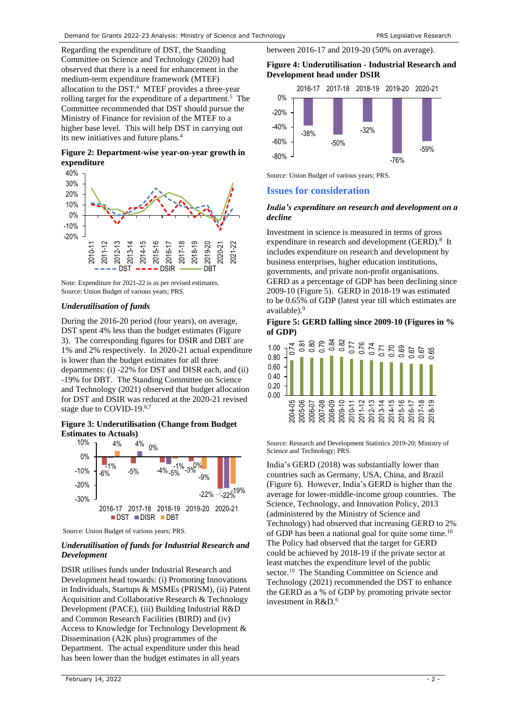<span id="page-1-0"></span>Regarding the expenditure of DST, the Standing Committee on Science and Technology (2020) had observed that there is a need for enhancement in the medium-term expenditure framework (MTEF) allocation to the DST. 4 MTEF provides a three-year rolling target for the expenditure of a department. <sup>5</sup> The Committee recommended that DST should pursue the Ministry of Finance for revision of the MTEF to a higher base level. This will help DST in carrying out its new initiatives and future plans.[4](#page-1-0)

## **Figure 2: Department-wise year-on-year growth in expenditure**



Note: Expenditure for 2021-22 is as per revised estimates. Source: Union Budget of various years; PRS.

## *Underutilisation of funds*

During the 2016-20 period (four years), on average, DST spent 4% less than the budget estimates [\(Figure](#page-1-1)  [3\)](#page-1-1). The corresponding figures for DSIR and DBT are 1% and 2% respectively. In 2020-21 actual expenditure is lower than the budget estimates for all three departments: (i) -22% for DST and DISR each, and (ii) -19% for DBT. The Standing Committee on Science and Technology (2021) observed that budget allocation for DST and DSIR was reduced at the 2020-21 revised stage due to COVID-19.<sup>6,7</sup>

## <span id="page-1-1"></span>**Figure 3: Underutilisation (Change from Budget Estimates to Actuals)**

<span id="page-1-7"></span><span id="page-1-4"></span>

Source: Union Budget of various years; PRS.

## *Underutilisation of funds for Industrial Research and Development*

DSIR utilises funds under Industrial Research and Development head towards: (i) Promoting Innovations in Individuals, Startups & MSMEs (PRISM), (ii) Patent Acquisition and Collaborative Research & Technology Development (PACE), (iii) Building Industrial R&D and Common Research Facilities (BIRD) and (iv) Access to Knowledge for Technology Development & Dissemination (A2K plus) programmes of the Department. The actual expenditure under this head has been lower than the budget estimates in all years

# between 2016-17 and 2019-20 (50% on average).

#### **Figure 4: Underutilisation - Industrial Research and Development head under DSIR**



Source: Union Budget of various years; PRS.

# **Issues for consideration**

## *India's expenditure on research and development on a decline*

<span id="page-1-5"></span>Investment in science is measured in terms of gross expenditure in research and development (GERD).<sup>8</sup> It includes expenditure on research and development by business enterprises, higher education institutions, governments, and private non-profit organisations. GERD as a percentage of GDP has been declining since 2009-10 [\(Figure 5\)](#page-1-2). GERD in 2018-19 was estimated to be 0.65% of GDP (latest year till which estimates are available). 9

#### <span id="page-1-6"></span><span id="page-1-2"></span>**Figure 5: GERD falling since 2009-10 (Figures in % of GDP)**



Source: Research and Development Statistics 2019-20; Ministry of Science and Technology; PRS.

<span id="page-1-3"></span>India's GERD (2018) was substantially lower than countries such as Germany, USA, China, and Brazil [\(Figure 6\)](#page-2-0). However, India's GERD is higher than the average for lower-middle-income group countries. The Science, Technology, and Innovation Policy, 2013 (administered by the Ministry of Science and Technology) had observed that increasing GERD to 2% of GDP has been a national goal for quite some time.<sup>10</sup> The Policy had observed that the target for GERD could be achieved by 2018-19 if the private sector at least matches the expenditure level of the public sector.<sup>[10](#page-1-3)</sup> The Standing Committee on Science and Technology (2021) recommended the DST to enhance the GERD as a % of GDP by promoting private sector investment in R&[D.](#page-1-4)<sup>6</sup>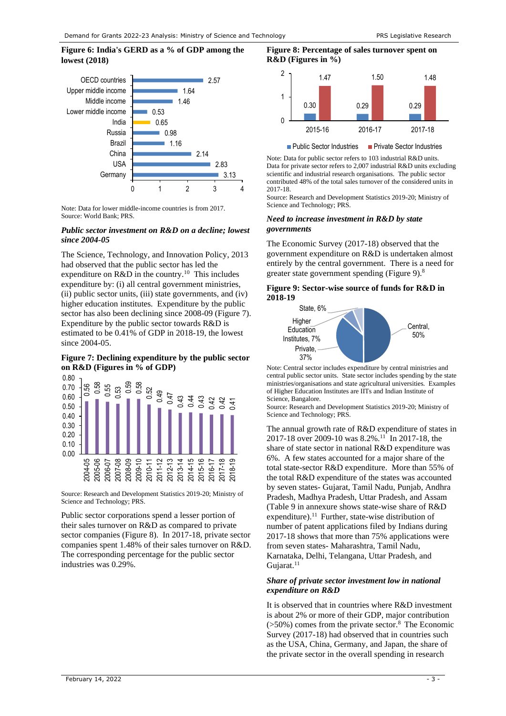# <span id="page-2-0"></span>**Figure 6: India's GERD as a % of GDP among the lowest (2018)**



Note: Data for lower middle-income countries is from 2017. Source: World Bank; PRS.

## *Public sector investment on R&D on a decline; lowest since 2004-05*

The Science, Technology, and Innovation Policy, 2013 had observed that the public sector has led the expenditure on  $R&D$  in the country.<sup>[10](#page-1-3)</sup> This includes expenditure by: (i) all central government ministries, (ii) public sector units, (iii) state governments, and (iv) higher education institutes. Expenditure by the public sector has also been declining since 2008-09 [\(Figure 7\)](#page-2-1). Expenditure by the public sector towards R&D is estimated to be 0.41% of GDP in 2018-19, the lowest since 2004-05.

## <span id="page-2-1"></span>**Figure 7: Declining expenditure by the public sector on R&D (Figures in % of GDP)**



Source: Research and Development Statistics 2019-20; Ministry of Science and Technology; PRS.

Public sector corporations spend a lesser portion of their sales turnover on R&D as compared to private sector companies [\(Figure 8\)](#page-2-2). In 2017-18, private sector companies spent 1.48% of their sales turnover on R&D. The corresponding percentage for the public sector industries was 0.29%.

#### <span id="page-2-2"></span>**Figure 8: Percentage of sales turnover spent on R&D (Figures in %)**



■ Public Sector Industries ■ Private Sector Industries

Note: Data for public sector refers to 103 industrial R&D units. Data for private sector refers to 2,007 industrial R&D units excluding scientific and industrial research organisations. The public sector contributed 48% of the total sales turnover of the considered units in 2017-18.

Source: Research and Development Statistics 2019-20; Ministry of Science and Technology; PRS.

#### *Need to increase investment in R&D by state governments*

The Economic Survey (2017-18) observed that the government expenditure on R&D is undertaken almost entirely by the central government. There is a need for greater state government spending [\(Figure 9\)](#page-2-3)[.](#page-1-5)<sup>8</sup>

#### <span id="page-2-3"></span>**Figure 9: Sector-wise source of funds for R&D in 2018-19**



Note: Central sector includes expenditure by central ministries and central public sector units. State sector includes spending by the state ministries/organisations and state agricultural universities. Examples of Higher Education Institutes are IITs and Indian Institute of Science, Bangalore.

Source: Research and Development Statistics 2019-20; Ministry of Science and Technology; PRS.

<span id="page-2-4"></span>The annual growth rate of R&D expenditure of states in 2017-18 over 2009-10 was 8.2%.<sup>11</sup> In 2017-18, the share of state sector in national R&D expenditure was 6%. A few states accounted for a major share of the total state-sector R&D expenditure. More than 55% of the total R&D expenditure of the states was accounted by seven states- Gujarat, Tamil Nadu, Punjab, Andhra Pradesh, Madhya Pradesh, Uttar Pradesh, and Assam [\(Table 9](#page-9-0) in annexure shows state-wise share of R&D expenditure).<sup>[11](#page-2-4)</sup> Further, state-wise distribution of number of patent applications filed by Indians during 2017-18 shows that more than 75% applications were from seven states- Maharashtra, Tamil Nadu, Karnataka, Delhi, Telangana, Uttar Pradesh, and Gujarat.<sup>[11](#page-2-4)</sup>

#### *Share of private sector investment low in national expenditure on R&D*

It is observed that in countries where R&D investment is about 2% or more of their GDP, major contribution  $($ >50%) comes from the private sector[.](#page-1-5)<sup>8</sup> The Economic Survey (2017-18) had observed that in countries such as the USA, China, Germany, and Japan, the share of the private sector in the overall spending in research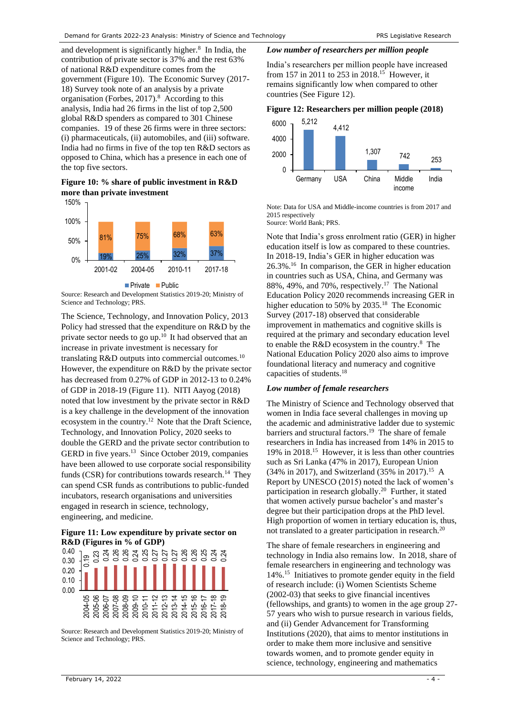and development is significantly higher.<sup>[8](#page-1-5)</sup> In India, the contribution of private sector is 37% and the rest 63% of national R&D expenditure comes from the government [\(Figure 10\)](#page-3-0). The Economic Survey (2017- 18) Survey took note of an analysis by a private organisation(Forbes,  $2017$ ).<sup>8</sup> According to this analysis, India had 26 firms in the list of top 2,500 global R&D spenders as compared to 301 Chinese companies. 19 of these 26 firms were in three sectors: (i) pharmaceuticals, (ii) automobiles, and (iii) software. India had no firms in five of the top ten R&D sectors as opposed to China, which has a presence in each one of the top five sectors.

<span id="page-3-0"></span>**Figure 10: % share of public investment in R&D more than private investment**



Source: Research and Development Statistics 2019-20; Ministry of Science and Technology; PRS.

The Science, Technology, and Innovation Policy, 2013 Policy had stressed that the expenditure on R&D by the private sector needs to go up.[10](#page-1-3) It had observed that an increase in private investment is necessary for translating R&D outputs into commercial outcomes.<sup>[10](#page-1-3)</sup> However, the expenditure on R&D by the private sector has decreased from 0.27% of GDP in 2012-13 to 0.24% of GDP in 2018-19 [\(Figure 11\)](#page-3-1). NITI Aayog (2018) noted that low investment by the private sector in R&D is a key challenge in the development of the innovation ecosystem in the country. <sup>12</sup> Note that the Draft Science, Technology, and Innovation Policy, 2020 seeks to double the GERD and the private sector contribution to GERD in five years.<sup>13</sup> Since October 2019, companies have been allowed to use corporate social responsibility funds (CSR) for contributions towards research.<sup>14</sup> They can spend CSR funds as contributions to public-funded incubators, research organisations and universities engaged in research in science, technology, engineering, and medicine.

#### <span id="page-3-8"></span><span id="page-3-1"></span>**Figure 11: Low expenditure by private sector on R&D (Figures in % of GDP)**



Source: Research and Development Statistics 2019-20; Ministry of Science and Technology; PRS.

## *Low number of researchers per million people*

<span id="page-3-4"></span>India's researchers per million people have increased from 157 in 2011 to 253 in 2018.<sup>15</sup> However, it remains significantly low when compared to other countries (See [Figure 12\)](#page-3-2).

# <span id="page-3-2"></span>**Figure 12: Researchers per million people (2018)**



Note: Data for USA and Middle-income countries is from 2017 and 2015 respectively Source: World Bank; PRS.

<span id="page-3-3"></span>Note that India's gross enrolment ratio (GER) in higher education itself is low as compared to these countries. In 2018-19, India's GER in higher education was 26.3%. 16 In comparison, the GER in higher education in countries such as USA, China, and Germany was 88%, 49%, and 70%, respectively.<sup>17</sup> The National Education Policy 2020 recommends increasing GER in higher education to 50% by 2035.<sup>18</sup> The Economic Survey (2017-18) observed that considerable improvement in mathematics and cognitive skills is required at the primary and secondary education level to enable the R&D ecosystem in the country.<sup>[8](#page-1-5)</sup> The National Education Policy 2020 also aims to improve foundational literacy and numeracy and cognitive capacities of students. [18](#page-3-3)

#### *Low number of female researchers*

<span id="page-3-7"></span><span id="page-3-6"></span>The Ministry of Science and Technology observed that women in India face several challenges in moving up the academic and administrative ladder due to systemic barriers and structural factors. 19 The share of female researchers in India has increased from 14% in 2015 to 19% in 2018.[15](#page-3-4) However, it is less than other countries such as Sri Lanka (47% in 2017), European Union (34% in 2017), and Switzerland (35% in 2017). [15](#page-3-4) A Report by UNESCO (2015) noted the lack of women's participation in research globally.<sup>20</sup> Further, it stated that women actively pursue bachelor's and master's degree but their participation drops at the PhD level. High proportion of women in tertiary education is, thus, not translated to a greater participation in research.<sup>[20](#page-3-5)</sup>

<span id="page-3-5"></span>The share of female researchers in engineering and technology in India also remains low. In 2018, share of female researchers in engineering and technology was 14%. [15](#page-3-4) Initiatives to promote gender equity in the field of research include: (i) Women Scientists Scheme (2002-03) that seeks to give financial incentives (fellowships, and grants) to women in the age group 27- 57 years who wish to pursue research in various fields, and (ii) Gender Advancement for Transforming Institutions (2020), that aims to mentor institutions in order to make them more inclusive and sensitive towards women, and to promote gender equity in science, technology, engineering and mathematics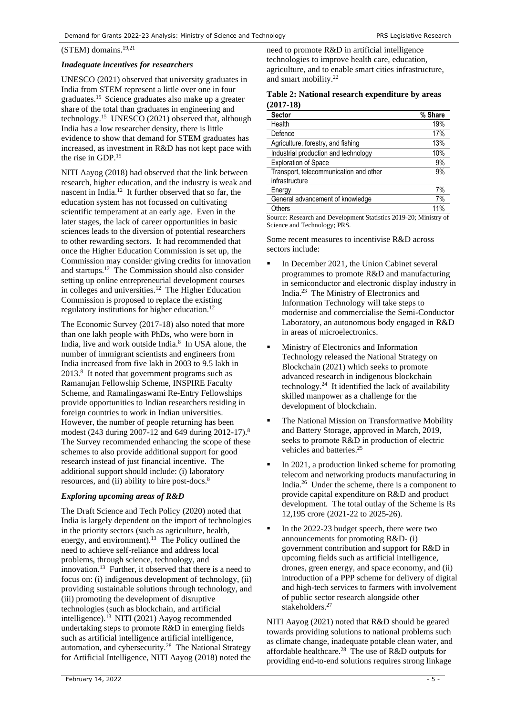# (STEM) domains.[19,2](#page-3-6)1

### *Inadequate incentives for researchers*

UNESCO (2021) observed that university graduates in India from STEM represent a little over one in four graduates.[15](#page-3-4) Science graduates also make up a greater share of the total than graduates in engineering and technology.[15](#page-3-4) UNESCO (2021) observed that, although India has a low researcher density, there is little evidence to show that demand for STEM graduates has increased, as investment in R&D has not kept pace with the rise in GDP. [15](#page-3-4)

NITI Aayog (2018) had observed that the link between research, higher education, and the industry is weak and nascent in India.<sup>[12](#page-3-7)</sup> It further observed that so far, the education system has not focussed on cultivating scientific temperament at an early age. Even in the later stages, the lack of career opportunities in basic sciences leads to the diversion of potential researchers to other rewarding sectors. It had recommended that once the Higher Education Commission is set up, the Commission may consider giving credits for innovation and startups.[12](#page-3-7) The Commission should also consider setting up online entrepreneurial development courses in colleges and universities.<sup>[12](#page-3-7)</sup> The Higher Education Commission is proposed to replace the existing regulatory institutions for higher education.[12](#page-3-7)

The Economic Survey (2017-18) also noted that more than one lakh people with PhDs, who were born in India, live and work outside India[.](#page-1-5) 8 In USA alone, the number of immigrant scientists and engineers from India increased from five lakh in 2003 to 9.5 lakh in 201[3.](#page-1-5)<sup>8</sup> It noted that government programs such as Ramanujan Fellowship Scheme, INSPIRE Faculty Scheme, and Ramalingaswami Re-Entry Fellowships provide opportunities to Indian researchers residing in foreign countries to work in Indian universities. However, the number of people returning has been modest (243 during 2007-12 and 649 during 2012-17).<sup>[8](#page-1-5)</sup> The Survey recommended enhancing the scope of these schemes to also provide additional support for good research instead of just financial incentive. The additional support should include: (i) laboratory resources, and (ii) ability to hire post-doc[s.](#page-1-5)<sup>8</sup>

## *Exploring upcoming areas of R&D*

The Draft Science and Tech Policy (2020) noted that India is largely dependent on the import of technologies in the priority sectors (such as agriculture, health, energy, and environment).<sup>[13](#page-3-8)</sup> The Policy outlined the need to achieve self-reliance and address local problems, through science, technology, and innovation.<sup>[13](#page-3-8)</sup> Further, it observed that there is a need to focus on: (i) indigenous development of technology, (ii) providing sustainable solutions through technology, and (iii) promoting the development of disruptive technologies (such as blockchain, and artificial intelligence). [13](#page-3-8) NITI (2021) Aayog recommended undertaking steps to promote R&D in emerging fields such as artificial intelligence artificial intelligence, automation, and cybersecurity.<sup>[28](#page-4-0)</sup> The National Strategy for Artificial Intelligence, NITI Aayog (2018) noted the

need to promote R&D in artificial intelligence technologies to improve health care, education, agriculture, and to enable smart cities infrastructure, and smart mobility. 22

## **Table 2: National research expenditure by areas (2017-18)**

| <b>Sector</b>                          | % Share |
|----------------------------------------|---------|
| Health                                 | 19%     |
| Defence                                | 17%     |
| Agriculture, forestry, and fishing     | 13%     |
| Industrial production and technology   | 10%     |
| <b>Exploration of Space</b>            | 9%      |
| Transport, telecommunication and other | 9%      |
| infrastructure                         |         |
| Energy                                 | 7%      |
| General advancement of knowledge       | 7%      |
| Others                                 | 11%     |

Source: Research and Development Statistics 2019-20; Ministry of Science and Technology; PRS.

Some recent measures to incentivise R&D across sectors include:

- **In December 2021, the Union Cabinet several** programmes to promote R&D and manufacturing in semiconductor and electronic display industry in India.<sup>23</sup> The Ministry of Electronics and Information Technology will take steps to modernise and commercialise the Semi-Conductor Laboratory, an autonomous body engaged in R&D in areas of microelectronics.
- **■** Ministry of Electronics and Information Technology released the National Strategy on Blockchain (2021) which seeks to promote advanced research in indigenous blockchain technology. 24 It identified the lack of availability skilled manpower as a challenge for the development of blockchain.
- The National Mission on Transformative Mobility and Battery Storage, approved in March, 2019, seeks to promote R&D in production of electric vehicles and batteries. 25
- In 2021, a production linked scheme for promoting telecom and networking products manufacturing in India. 26 Under the scheme, there is a component to provide capital expenditure on R&D and product development. The total outlay of the Scheme is Rs 12,195 crore (2021-22 to 2025-26).
- In the 2022-23 budget speech, there were two announcements for promoting R&D- (i) government contribution and support for R&D in upcoming fields such as artificial intelligence, drones, green energy, and space economy, and (ii) introduction of a PPP scheme for delivery of digital and high-tech services to farmers with involvement of public sector research alongside other stakeholders.<sup>27</sup>

<span id="page-4-0"></span>NITI Aayog (2021) noted that R&D should be geared towards providing solutions to national problems such as climate change, inadequate potable clean water, and affordable healthcare.<sup>28</sup> The use of  $R&D$  outputs for providing end-to-end solutions requires strong linkage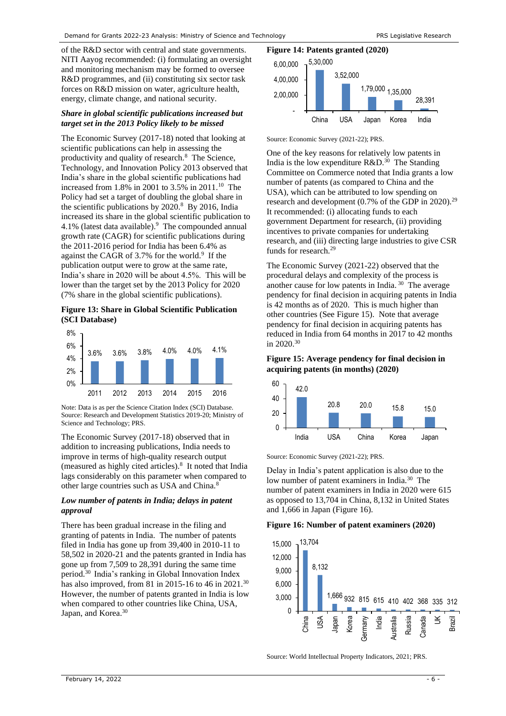of the R&D sector with central and state governments. NITI Aayog recommended: (i) formulating an oversight and monitoring mechanism may be formed to oversee R&D programmes, and (ii) constituting six sector task forces on R&D mission on water, agriculture health, energy, climate change, and national security.

#### *Share in global scientific publications increased but target set in the 2013 Policy likely to be missed*

The Economic Survey (2017-18) noted that looking at scientific publications can help in assessing the productivityand quality of research.<sup>8</sup> The Science, Technology, and Innovation Policy 2013 observed that India's share in the global scientific publications had increased from 1.8% in 2001 to 3.5% in 2011.[10](#page-1-3) The Policy had set a target of doubling the global share in the scientific publications by  $2020$ [.](#page-1-5)<sup>8</sup> By 2016, India increased its share in the global scientific publication to  $4.1\%$  $4.1\%$  $4.1\%$  (latest data available). <sup>9</sup> The compounded annual growth rate (CAGR) for scientific publications during the 2011-2016 period for India has been 6.4% as against the CAGR of 3.7% for the worl[d.](#page-1-6)<sup>9</sup> If the publication output were to grow at the same rate, India's share in 2020 will be about 4.5%. This will be lower than the target set by the 2013 Policy for 2020 (7% share in the global scientific publications).

**Figure 13: Share in Global Scientific Publication (SCI Database)**



Note: Data is as per the Science Citation Index (SCI) Database. Source: Research and Development Statistics 2019-20; Ministry of Science and Technology; PRS.

The Economic Survey (2017-18) observed that in addition to increasing publications, India needs to improve in terms of high-quality research output (measured as highly cited articles[\).](#page-1-5)<sup>8</sup> It noted that India lags considerably on this parameter when compared to other large countries such as USA and China.[8](#page-1-5)

#### *Low number of patents in India; delays in patent approval*

There has been gradual increase in the filing and granting of patents in India. The number of patents filed in India has gone up from 39,400 in 2010-11 to 58,502 in 2020-21 and the patents granted in India has gone up from 7,509 to 28,391 during the same time period.[30](#page-5-0) India's ranking in Global Innovation Index has also improved, from 81 in 2015-16 to 46 in 2021.<sup>[30](#page-5-0)</sup> However, the number of patents granted in India is low when compared to other countries like China, USA, Japan, and Korea.<sup>[30](#page-5-0)</sup>

# **Figure 14: Patents granted (2020)**



Source: Economic Survey (2021-22); PRS.

<span id="page-5-1"></span>One of the key reasons for relatively low patents in India is the low expenditure  $R&D.^{30}$  $R&D.^{30}$  $R&D.^{30}$  The Standing Committee on Commerce noted that India grants a low number of patents (as compared to China and the USA), which can be attributed to low spending on research and development (0.7% of the GDP in 2020).<sup>29</sup> It recommended: (i) allocating funds to each government Department for research, (ii) providing incentives to private companies for undertaking research, and (iii) directing large industries to give CSR funds for research.[29](#page-5-1)

<span id="page-5-3"></span><span id="page-5-0"></span>The Economic Survey (2021-22) observed that the procedural delays and complexity of the process is another cause for low patents in India.<sup>30</sup> The average pendency for final decision in acquiring patents in India is 42 months as of 2020. This is much higher than other countries (See [Figure 15\)](#page-5-2). Note that average pendency for final decision in acquiring patents has reduced in India from 64 months in 2017 to 42 months in  $2020^{30}$  $2020^{30}$  $2020^{30}$ 

# <span id="page-5-2"></span>**Figure 15: Average pendency for final decision in acquiring patents (in months) (2020)**



Source: Economic Survey (2021-22); PRS.

Delay in India's patent application is also due to the low number of patent examiners in India.<sup>[30](#page-5-0)</sup> The number of patent examiners in India in 2020 were 615 as opposed to 13,704 in China, 8,132 in United States and 1,666 in Japan [\(Figure 16\)](#page-5-4).

#### <span id="page-5-4"></span>**Figure 16: Number of patent examiners (2020)**



Source: World Intellectual Property Indicators, 2021; PRS.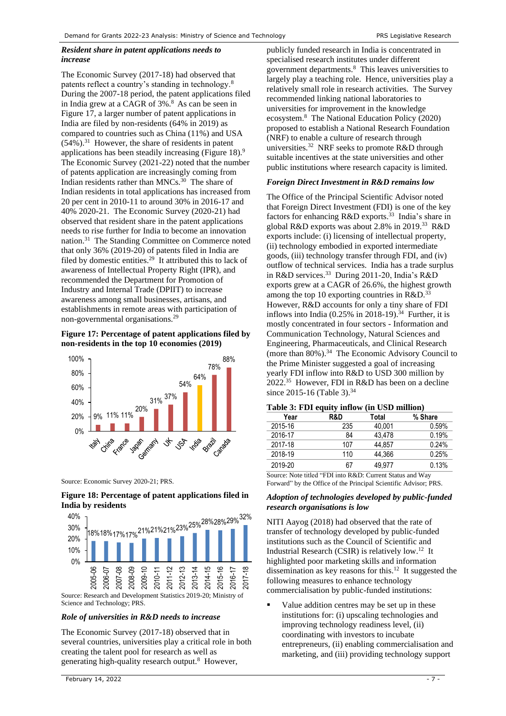## *Resident share in patent applications needs to increase*

<span id="page-6-2"></span>The Economic Survey (2017-18) had observed that patents reflect a country's standing in technolog[y.](#page-1-5)<sup>8</sup> During the 2007-18 period, the patent applications filed in India grew at a CAGR of 3%[.](#page-1-5)<sup>8</sup> As can be seen in [Figure 17,](#page-6-0) a larger number of patent applications in India are filed by non-residents (64% in 2019) as compared to countries such as China (11%) and USA  $(54\%)$ .<sup>31</sup> However, the share of residents in patent applications has been steadily increasing [\(Figure 18\)](#page-6-1)[.](#page-1-6)<sup>9</sup> The Economic Survey (2021-22) noted that the number of patents application are increasingly coming from Indian residents rather than MNCs.<sup>[30](#page-5-0)</sup> The share of Indian residents in total applications has increased from 20 per cent in 2010-11 to around 30% in 2016-17 and 40% 2020-21. The Economic Survey (2020-21) had observed that resident share in the patent applications needs to rise further for India to become an innovation nation.<sup>[31](#page-6-2)</sup> The Standing Committee on Commerce noted that only 36% (2019-20) of patents filed in India are filed by domestic entities.<sup>[29](#page-5-1)</sup> It attributed this to lack of awareness of Intellectual Property Right (IPR), and recommended the Department for Promotion of Industry and Internal Trade (DPIIT) to increase awareness among small businesses, artisans, and establishments in remote areas with participation of non-governmental organisations. [29](#page-5-1)

## <span id="page-6-0"></span>**Figure 17: Percentage of patent applications filed by non-residents in the top 10 economies (2019)**



Source: Economic Survey 2020-21; PRS.

#### <span id="page-6-1"></span>**Figure 18: Percentage of patent applications filed in India by residents**



Science and Technology; PRS.

## *Role of universities in R&D needs to increase*

The Economic Survey (2017-18) observed that in several countries, universities play a critical role in both creating the talent pool for research as well as generating high-quality research output.<sup>[8](#page-1-5)</sup> However,

publicly funded research in India is concentrated in specialised research institutes under different government department[s.](#page-1-5)<sup>8</sup> This leaves universities to largely play a teaching role. Hence, universities play a relatively small role in research activities. The Survey recommended linking national laboratories to universities for improvement in the knowledge ecosystem.[8](#page-1-5) The National Education Policy (2020) proposed to establish a National Research Foundation (NRF) to enable a culture of research through universities.<sup>32</sup> NRF seeks to promote R&D through suitable incentives at the state universities and other public institutions where research capacity is limited.

#### *Foreign Direct Investment in R&D remains low*

<span id="page-6-3"></span>The Office of the Principal Scientific Advisor noted that Foreign Direct Investment (FDI) is one of the key factors for enhancing R&D exports.<sup>33</sup> India's share in global R&D exports was about 2.8% in 2019.<sup>[33](#page-6-3)</sup> R&D exports include: (i) licensing of intellectual property, (ii) technology embodied in exported intermediate goods, (iii) technology transfer through FDI, and (iv) outflow of technical services. India has a trade surplus in R&D services.<sup>[33](#page-6-3)</sup> During 2011-20, India's R&D exports grew at a CAGR of 26.6%, the highest growth among the top 10 exporting countries in  $R&D$ .<sup>[33](#page-6-3)</sup> However, R&D accounts for only a tiny share of FDI inflows into India  $(0.25\%$  in 2018-19).<sup>34</sup> Further, it is mostly concentrated in four sectors - Information and Communication Technology, Natural Sciences and Engineering, Pharmaceuticals, and Clinical Research (more than 80%).<sup>[34](#page-6-4)</sup> The Economic Advisory Council to the Prime Minister suggested a goal of increasing yearly FDI inflow into R&D to USD 300 million by 2022.<sup>35</sup> However, FDI in R&D has been on a decline since 2015-16 [\(Table 3\)](#page-6-5).<sup>[34](#page-6-4)</sup>

| Year                                                      | R&D | Total  | % Share |  |  |
|-----------------------------------------------------------|-----|--------|---------|--|--|
| 2015-16                                                   | 235 | 40,001 | 0.59%   |  |  |
| 2016-17                                                   | 84  | 43,478 | 0.19%   |  |  |
| 2017-18                                                   | 107 | 44.857 | 0.24%   |  |  |
| 2018-19                                                   | 110 | 44.366 | 0.25%   |  |  |
| 2019-20                                                   | 67  | 49.977 | 0.13%   |  |  |
| Source: Note titled "FDI into R&D: Current Status and Way |     |        |         |  |  |

#### <span id="page-6-5"></span><span id="page-6-4"></span>**Table 3: FDI equity inflow (in USD million)**

Forward" by the Office of the Principal Scientific Advisor; PRS.

#### *Adoption of technologies developed by public-funded research organisations is low*

NITI Aayog (2018) had observed that the rate of transfer of technology developed by public-funded institutions such as the Council of Scientific and Industrial Research (CSIR) is relatively low.<sup>[12](#page-3-7)</sup> It highlighted poor marketing skills and information dissemination as key reasons for this. [12](#page-3-7) It suggested the following measures to enhance technology commercialisation by public-funded institutions:

■ Value addition centres may be set up in these institutions for: (i) upscaling technologies and improving technology readiness level, (ii) coordinating with investors to incubate entrepreneurs, (ii) enabling commercialisation and marketing, and (iii) providing technology support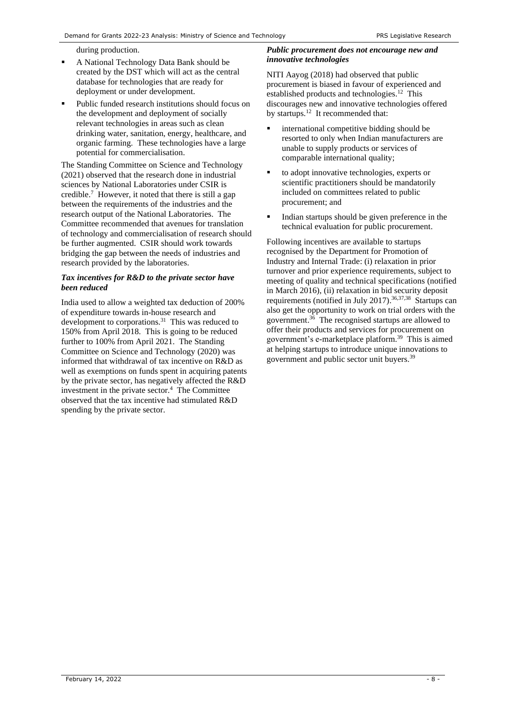during production.

- A National Technology Data Bank should be created by the DST which will act as the central database for technologies that are ready for deployment or under development.
- Public funded research institutions should focus on the development and deployment of socially relevant technologies in areas such as clean drinking water, sanitation, energy, healthcare, and organic farming. These technologies have a large potential for commercialisation.

The Standing Committee on Science and Technology (2021) observed that the research done in industrial sciences by National Laboratories under CSIR is credibl[e.](#page-1-7)<sup>7</sup> However, it noted that there is still a gap between the requirements of the industries and the research output of the National Laboratories. The Committee recommended that avenues for translation of technology and commercialisation of research should be further augmented. CSIR should work towards bridging the gap between the needs of industries and research provided by the laboratories.

### *Tax incentives for R&D to the private sector have been reduced*

India used to allow a weighted tax deduction of 200% of expenditure towards in-house research and development to corporations.<sup>[31](#page-6-2)</sup> This was reduced to 150% from April 2018. This is going to be reduced further to 100% from April 2021. The Standing Committee on Science and Technology (2020) was informed that withdrawal of tax incentive on R&D as well as exemptions on funds spent in acquiring patents by the private sector, has negatively affected the R&D investmentin the private sector. $4$  The Committee observed that the tax incentive had stimulated R&D spending by the private sector.

## *Public procurement does not encourage new and innovative technologies*

NITI Aayog (2018) had observed that public procurement is biased in favour of experienced and established products and technologies.<sup>[12](#page-3-7)</sup> This discourages new and innovative technologies offered by startups.<sup>[12](#page-3-7)</sup> It recommended that:

- international competitive bidding should be resorted to only when Indian manufacturers are unable to supply products or services of comparable international quality;
- to adopt innovative technologies, experts or scientific practitioners should be mandatorily included on committees related to public procurement; and
- Indian startups should be given preference in the technical evaluation for public procurement.

<span id="page-7-1"></span><span id="page-7-0"></span>Following incentives are available to startups recognised by the Department for Promotion of Industry and Internal Trade: (i) relaxation in prior turnover and prior experience requirements, subject to meeting of quality and technical specifications (notified in March 2016), (ii) relaxation in bid security deposit requirements (notified in July 2017).<sup>36,37,38</sup> Startups can also get the opportunity to work on trial orders with the government. [36](#page-7-0) The recognised startups are allowed to offer their products and services for procurement on government's e-marketplace platform.<sup>39</sup> This is aimed at helping startups to introduce unique innovations to government and public sector unit buyers.[39](#page-7-1)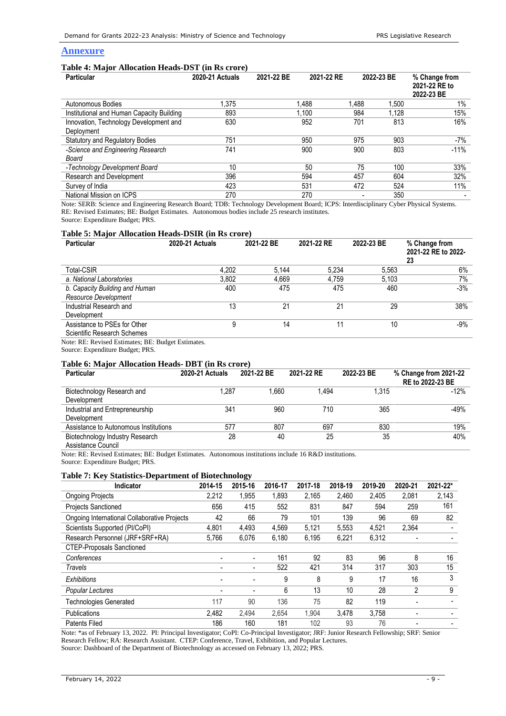## **Annexure**

#### **Table 4: Major Allocation Heads-DST (in Rs crore)**

| <b>Particular</b>                         | <b>2020-21 Actuals</b> | 2021-22 BE | 2021-22 RE | 2022-23 BE | % Change from<br>2021-22 RE to<br>2022-23 BE |
|-------------------------------------------|------------------------|------------|------------|------------|----------------------------------------------|
| Autonomous Bodies                         | 1.375                  | 1,488      | 1.488      | 1,500      | $1\%$                                        |
| Institutional and Human Capacity Building | 893                    | 1.100      | 984        | 1.128      | 15%                                          |
| Innovation, Technology Development and    | 630                    | 952        | 701        | 813        | 16%                                          |
| Deployment                                |                        |            |            |            |                                              |
| Statutory and Regulatory Bodies           | 751                    | 950        | 975        | 903        | -7%                                          |
| -Science and Engineering Research         | 741                    | 900        | 900        | 803        | $-11%$                                       |
| Board                                     |                        |            |            |            |                                              |
| -Technology Development Board             | 10                     | 50         | 75         | 100        | 33%                                          |
| Research and Development                  | 396                    | 594        | 457        | 604        | 32%                                          |
| Survey of India                           | 423                    | 531        | 472        | 524        | 11%                                          |
| National Mission on ICPS                  | 270                    | 270        |            | 350        |                                              |

Note: SERB: Science and Engineering Research Board; TDB: Technology Development Board; ICPS: Interdisciplinary Cyber Physical Systems. RE: Revised Estimates; BE: Budget Estimates. Autonomous bodies include 25 research institutes.

Source: Expenditure Budget; PRS.

#### **Table 5: Major Allocation Heads-DSIR (in Rs crore)**

| <b>Particular</b>              | <b>2020-21 Actuals</b> | 2021-22 BE | 2021-22 RE | 2022-23 BE | % Change from<br>2021-22 RE to 2022-<br>23 |
|--------------------------------|------------------------|------------|------------|------------|--------------------------------------------|
| <b>Total-CSIR</b>              | 4.202                  | 5.144      | 5.234      | 5.563      | 6%                                         |
| a. National Laboratories       | 3.802                  | 4.669      | 4.759      | 5.103      | 7%                                         |
| b. Capacity Building and Human | 400                    | 475        | 475        | 460        | $-3%$                                      |
| Resource Development           |                        |            |            |            |                                            |
| Industrial Research and        | 13                     | 21         | 21         | 29         | 38%                                        |
| Development                    |                        |            |            |            |                                            |
| Assistance to PSEs for Other   | 9                      | 14         |            | 10         | $-9%$                                      |
| Scientific Research Schemes    |                        |            |            |            |                                            |

Note: RE: Revised Estimates; BE: Budget Estimates.

Source: Expenditure Budget; PRS.

#### **Table 6: Major Allocation Heads- DBT (in Rs crore)**

| <b>Particular</b>                                     | 2020-21 Actuals | 2021-22 BE | 2021-22 RE | 2022-23 BE | % Change from 2021-22<br>RE to 2022-23 BE |
|-------------------------------------------------------|-----------------|------------|------------|------------|-------------------------------------------|
| Biotechnology Research and<br>Development             | 1.287           | 1.660      | 1.494      | 1.315      | $-12%$                                    |
| Industrial and Entrepreneurship<br>Development        | 341             | 960        | 710        | 365        | $-49%$                                    |
| Assistance to Autonomous Institutions                 | 577             | 807        | 697        | 830        | 19%                                       |
| Biotechnology Industry Research<br>Assistance Council | 28              | 40         | 25         | 35         | 40%                                       |

Note: RE: Revised Estimates; BE: Budget Estimates. Autonomous institutions include 16 R&D institutions. Source: Expenditure Budget; PRS.

#### **Table 7: Key Statistics-Department of Biotechnology**

| Indicator                                    | 2014-15 | 2015-16                  | 2016-17 | 2017-18 | 2018-19 | 2019-20 | 2020-21 | 2021-22* |
|----------------------------------------------|---------|--------------------------|---------|---------|---------|---------|---------|----------|
| <b>Ongoing Projects</b>                      | 2.212   | 1,955                    | 1,893   | 2,165   | 2,460   | 2,405   | 2,081   | 2,143    |
| <b>Projects Sanctioned</b>                   | 656     | 415                      | 552     | 831     | 847     | 594     | 259     | 161      |
| Ongoing International Collaborative Projects | 42      | 66                       | 79      | 101     | 139     | 96      | 69      | 82       |
| Scientists Supported (PI/CoPI)               | 4,801   | 4,493                    | 4,569   | 5,121   | 5,553   | 4,521   | 2,364   |          |
| Research Personnel (JRF+SRF+RA)              | 5,766   | 6,076                    | 6,180   | 6,195   | 6,221   | 6,312   |         |          |
| <b>CTEP-Proposals Sanctioned</b>             |         |                          |         |         |         |         |         |          |
| Conferences                                  |         | $\overline{\phantom{a}}$ | 161     | 92      | 83      | 96      | 8       | 16       |
| Travels                                      |         | $\overline{\phantom{0}}$ | 522     | 421     | 314     | 317     | 303     | 15       |
| Exhibitions                                  |         | $\overline{\phantom{a}}$ | 9       | 8       | 9       | 17      | 16      | 3        |
| Popular Lectures                             | -       | $\blacksquare$           | 6       | 13      | 10      | 28      | 2       | 9        |
| <b>Technologies Generated</b>                | 117     | 90                       | 136     | 75      | 82      | 119     |         |          |
| <b>Publications</b>                          | 2,482   | 2,494                    | 2,654   | 1,904   | 3,478   | 3,758   |         |          |
| <b>Patents Filed</b>                         | 186     | 160                      | 181     | 102     | 93      | 76      |         |          |

Note: \*as of February 13, 2022. PI: Principal Investigator; CoPI: Co-Principal Investigator; JRF: Junior Research Fellowship; SRF: Senior Research Fellow; RA: Research Assistant. CTEP: Conference, Travel, Exhibition, and Popular Lectures. Source: Dashboard of the Department of Biotechnology as accessed on February 13, 2022; PRS.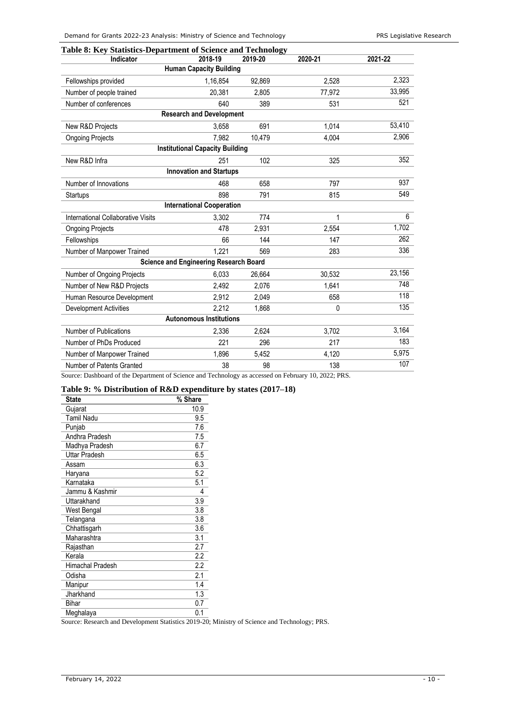| Indicator                          | 2018-19                                       | 2019-20 | 2020-21  | 2021-22 |
|------------------------------------|-----------------------------------------------|---------|----------|---------|
|                                    | <b>Human Capacity Building</b>                |         |          |         |
| Fellowships provided               | 1,16,854                                      | 92,869  | 2.528    | 2,323   |
| Number of people trained           | 20.381                                        | 2,805   | 77,972   | 33,995  |
| Number of conferences              | 640                                           | 389     | 531      | 521     |
|                                    | <b>Research and Development</b>               |         |          |         |
| New R&D Projects                   | 3.658                                         | 691     | 1,014    | 53,410  |
| <b>Ongoing Projects</b>            | 7,982                                         | 10,479  | 4,004    | 2,906   |
|                                    | <b>Institutional Capacity Building</b>        |         |          |         |
| New R&D Infra                      | 251                                           | 102     | 325      | 352     |
|                                    | <b>Innovation and Startups</b>                |         |          |         |
| Number of Innovations              | 468                                           | 658     | 797      | 937     |
| Startups                           | 898                                           | 791     | 815      | 549     |
|                                    | <b>International Cooperation</b>              |         |          |         |
| International Collaborative Visits | 3,302                                         | 774     | 1        | 6       |
| <b>Ongoing Projects</b>            | 478                                           | 2,931   | 2,554    | 1,702   |
| Fellowships                        | 66                                            | 144     | 147      | 262     |
| Number of Manpower Trained         | 1,221                                         | 569     | 283      | 336     |
|                                    | <b>Science and Engineering Research Board</b> |         |          |         |
| Number of Ongoing Projects         | 6.033                                         | 26,664  | 30,532   | 23,156  |
| Number of New R&D Projects         | 2,492                                         | 2,076   | 1,641    | 748     |
| Human Resource Development         | 2,912                                         | 2,049   | 658      | 118     |
| <b>Development Activities</b>      | 2,212                                         | 1,868   | $\Omega$ | 135     |
|                                    | <b>Autonomous Institutions</b>                |         |          |         |
| Number of Publications             | 2.336                                         | 2,624   | 3,702    | 3,164   |
| Number of PhDs Produced            | 221                                           | 296     | 217      | 183     |
| Number of Manpower Trained         | 1.896                                         | 5,452   | 4,120    | 5,975   |
| Number of Patents Granted          | 38                                            | 98      | 138      | 107     |

Source: Dashboard of the Department of Science and Technology as accessed on February 10, 2022; PRS.

# <span id="page-9-0"></span>**Table 9: % Distribution of R&D expenditure by states (2017–18)**

| <b>State</b>         | % Share |
|----------------------|---------|
| Gujarat              | 10.9    |
| <b>Tamil Nadu</b>    | 9.5     |
| Punjab               | 7.6     |
| Andhra Pradesh       | 7.5     |
| Madhya Pradesh       | 6.7     |
| <b>Uttar Pradesh</b> | 6.5     |
| Assam                | 6.3     |
| Haryana              | 5.2     |
| Karnataka            | 5.1     |
| Jammu & Kashmir      | 4       |
| Uttarakhand          | 3.9     |
| West Bengal          | 3.8     |
| Telangana            | 3.8     |
| Chhattisgarh         | 3.6     |
| Maharashtra          | 3.1     |
| Rajasthan            | 2.7     |
| Kerala               | 2.2     |
| Himachal Pradesh     | 2.2     |
| Odisha               | 2.1     |
| Manipur              | 1.4     |
| Jharkhand            | 1.3     |
| Bihar                | 0.7     |
| Meghalaya            | 0.1     |

Source: Research and Development Statistics 2019-20; Ministry of Science and Technology; PRS.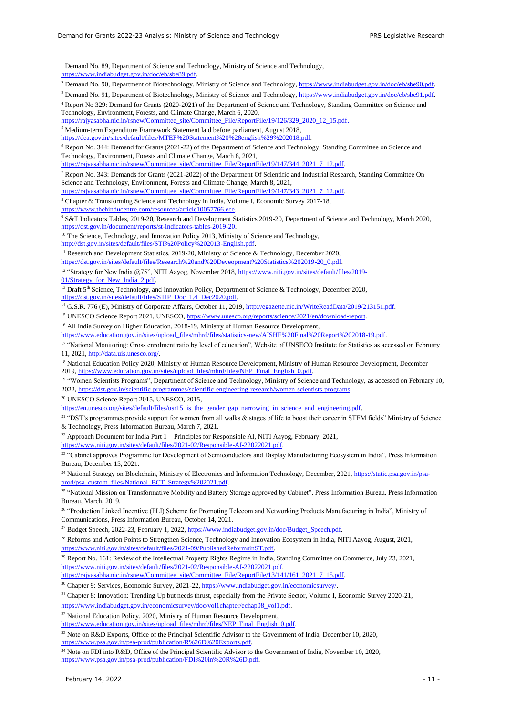<sup>1</sup> Demand No. 89, Department of Science and Technology, Ministry of Science and Technology, [https://www.indiabudget.gov.in/doc/eb/sbe89.pdf.](https://www.indiabudget.gov.in/doc/eb/sbe89.pdf)

<sup>2</sup> Demand No. 90, Department of Biotechnology, Ministry of Science and Technology, [https://www.indiabudget.gov.in/doc/eb/sbe90.pdf.](https://www.indiabudget.gov.in/doc/eb/sbe90.pdf)

<sup>3</sup> Demand No. 91, Department of Biotechnology, Ministry of Science and Technology, [https://www.indiabudget.gov.in/doc/eb/sbe91.pdf.](https://www.indiabudget.gov.in/doc/eb/sbe91.pdf)

<sup>4</sup> Report No 329: Demand for Grants (2020-2021) of the Department of Science and Technology, Standing Committee on Science and Technology, Environment, Forests, and Climate Change, March 6, 2020,

[https://rajyasabha.nic.in/rsnew/Committee\\_site/Committee\\_File/ReportFile/19/126/329\\_2020\\_12\\_15.pdf.](https://rajyasabha.nic.in/rsnew/Committee_site/Committee_File/ReportFile/19/126/329_2020_12_15.pdf)

<sup>5</sup> Medium-term Expenditure Framework Statement laid before parliament, August 2018, [https://dea.gov.in/sites/default/files/MTEF%20Statement%20%28english%29%202018.pdf.](https://dea.gov.in/sites/default/files/MTEF%20Statement%20%28english%29%202018.pdf)

<sup>6</sup> Report No. 344: Demand for Grants (2021-22) of the Department of Science and Technology, Standing Committee on Science and

Technology, Environment, Forests and Climate Change, March 8, 2021,

[https://rajyasabha.nic.in/rsnew/Committee\\_site/Committee\\_File/ReportFile/19/147/344\\_2021\\_7\\_12.pdf.](https://rajyasabha.nic.in/rsnew/Committee_site/Committee_File/ReportFile/19/147/344_2021_7_12.pdf)

<sup>7</sup> Report No. 343: Demands for Grants (2021-2022) of the Department Of Scientific and Industrial Research, Standing Committee On Science and Technology, Environment, Forests and Climate Change, March 8, 2021,

https://rajyasabha.nic.in/rsnew/Committee\_site/Committee\_File/ReportFile/19/147/343\_2021\_7\_12.pdf.

<sup>8</sup> Chapter 8: Transforming Science and Technology in India, Volume I, Economic Survey 2017-18,

https://www.thehinducentre.com/resources/article10057766.e

<sup>9</sup> S&T Indicators Tables, 2019-20, Research and Development Statistics 2019-20, Department of Science and Technology, March 2020, [https://dst.gov.in/document/reports/st-indicators-tables-2019-20.](https://dst.gov.in/document/reports/st-indicators-tables-2019-20) 

<sup>10</sup> The Science, Technology, and Innovation Policy 2013, Ministry of Science and Technology, [http://dst.gov.in/sites/default/files/STI%20Policy%202013-English.pdf.](http://dst.gov.in/sites/default/files/STI%20Policy%202013-English.pdf) 

<sup>11</sup> Research and Development Statistics, 2019-20, Ministry of Science & Technology, December 2020,

[https://dst.gov.in/sites/default/files/Research%20and%20Deveopment%20Statistics%202019-20\\_0.pdf.](https://dst.gov.in/sites/default/files/Research%20and%20Deveopment%20Statistics%202019-20_0.pdf)

<sup>12</sup> "Strategy for New India @75", NITI Aayog, November 2018, [https://www.niti.gov.in/sites/default/files/2019-](https://www.niti.gov.in/sites/default/files/2019-01/Strategy_for_New_India_2.pdf) [01/Strategy\\_for\\_New\\_India\\_2.pdf.](https://www.niti.gov.in/sites/default/files/2019-01/Strategy_for_New_India_2.pdf)

<sup>13</sup> Draft 5<sup>th</sup> Science, Technology, and Innovation Policy, Department of Science & Technology, December 2020, [https://dst.gov.in/sites/default/files/STIP\\_Doc\\_1.4\\_Dec2020.pdf.](https://dst.gov.in/sites/default/files/STIP_Doc_1.4_Dec2020.pdf)

<sup>14</sup> G.S.R. 776 (E), Ministry of Corporate Affairs, October 11, 2019[, http://egazette.nic.in/WriteReadData/2019/213151.pdf.](http://egazette.nic.in/WriteReadData/2019/213151.pdf)

<sup>15</sup> UNESCO Science Report 2021, UNESCO[, https://www.unesco.org/reports/science/2021/en/download-report.](https://www.unesco.org/reports/science/2021/en/download-report)

<sup>16</sup> All India Survey on Higher Education, 2018-19, Ministry of Human Resource Development,

[https://www.education.gov.in/sites/upload\\_files/mhrd/files/statistics-new/AISHE%20Final%20Report%202018-19.pdf.](https://www.education.gov.in/sites/upload_files/mhrd/files/statistics-new/AISHE%20Final%20Report%202018-19.pdf)

<sup>17</sup> "National Monitoring: Gross enrolment ratio by level of education", Website of UNSECO Institute for Statistics as accessed on February 11, 2021[, http://data.uis.unesco.org/.](http://data.uis.unesco.org/)

<sup>18</sup> National Education Policy 2020, Ministry of Human Resource Development, Ministry of Human Resource Development, December 2019[, https://www.education.gov.in/sites/upload\\_files/mhrd/files/NEP\\_Final\\_English\\_0.pdf.](https://www.education.gov.in/sites/upload_files/mhrd/files/NEP_Final_English_0.pdf)

<sup>19</sup> "Women Scientists Programs", Department of Science and Technology, Ministry of Science and Technology, as accessed on February 10, 2022[, https://dst.gov.in/scientific-programmes/scientific-engineering-research/women-scientists-programs.](https://dst.gov.in/scientific-programmes/scientific-engineering-research/women-scientists-programs)

<sup>20</sup> UNESCO Science Report 2015, UNESCO, 2015,

[https://en.unesco.org/sites/default/files/usr15\\_is\\_the\\_gender\\_gap\\_narrowing\\_in\\_science\\_and\\_engineering.pdf.](https://en.unesco.org/sites/default/files/usr15_is_the_gender_gap_narrowing_in_science_and_engineering.pdf)

<sup>21</sup> "DST's programmes provide support for women from all walks & stages of life to boost their career in STEM fields" Ministry of Science & Technology, Press Information Bureau, March 7, 2021.

<sup>22</sup> Approach Document for India Part  $1$  – Principles for Responsible AI, NITI Aayog, February, 2021,

[https://www.niti.gov.in/sites/default/files/2021-02/Responsible-AI-22022021.pdf.](https://www.niti.gov.in/sites/default/files/2021-02/Responsible-AI-22022021.pdf)

<sup>23</sup> "Cabinet approves Programme for Development of Semiconductors and Display Manufacturing Ecosystem in India", Press Information Bureau, December 15, 2021.

<sup>24</sup> National Strategy on Blockchain, Ministry of Electronics and Information Technology, December, 2021[, https://static.psa.gov.in/psa](https://static.psa.gov.in/psa-prod/psa_custom_files/National_BCT_Strategy%202021.pdf)[prod/psa\\_custom\\_files/National\\_BCT\\_Strategy%202021.pdf.](https://static.psa.gov.in/psa-prod/psa_custom_files/National_BCT_Strategy%202021.pdf)

<sup>25</sup> "National Mission on Transformative Mobility and Battery Storage approved by Cabinet", Press Information Bureau, Press Information Bureau, March, 2019.

<sup>26</sup> "Production Linked Incentive (PLI) Scheme for Promoting Telecom and Networking Products Manufacturing in India", Ministry of Communications, Press Information Bureau, October 14, 2021.

<sup>27</sup> Budget Speech, 2022-23, February 1, 2022, [https://www.indiabudget.gov.in/doc/Budget\\_Speech.pdf.](https://www.indiabudget.gov.in/doc/Budget_Speech.pdf)

<sup>28</sup> Reforms and Action Points to Strengthen Science, Technology and Innovation Ecosystem in India, NITI Aayog, August, 2021, https://www.niti.gov.in/sites/default/files/2021-09/PublishedReformsinST.pdf

<sup>29</sup> Report No. 161: Review of the Intellectual Property Rights Regime in India, Standing Committee on Commerce, July 23, 2021, [https://www.niti.gov.in/sites/default/files/2021-02/Responsible-AI-22022021.pdf.](https://www.niti.gov.in/sites/default/files/2021-02/Responsible-AI-22022021.pdf)

[https://rajyasabha.nic.in/rsnew/Committee\\_site/Committee\\_File/ReportFile/13/141/161\\_2021\\_7\\_15.pdf.](https://rajyasabha.nic.in/rsnew/Committee_site/Committee_File/ReportFile/13/141/161_2021_7_15.pdf)

<sup>30</sup> Chapter 9: Services, Economic Survey, 2021-22[, https://www.indiabudget.gov.in/economicsurvey/.](https://www.indiabudget.gov.in/economicsurvey/)

<sup>31</sup> Chapter 8: Innovation: Trending Up but needs thrust, especially from the Private Sector, Volume I, Economic Survey 2020-21,

[https://www.indiabudget.gov.in/economicsurvey/doc/vol1chapter/echap08\\_vol1.pdf.](https://www.indiabudget.gov.in/economicsurvey/doc/vol1chapter/echap08_vol1.pdf)

<sup>32</sup> National Education Policy, 2020, Ministry of Human Resource Development,

[https://www.education.gov.in/sites/upload\\_files/mhrd/files/NEP\\_Final\\_English\\_0.pdf.](https://www.education.gov.in/sites/upload_files/mhrd/files/NEP_Final_English_0.pdf)

<sup>33</sup> Note on R&D Exports, Office of the Principal Scientific Advisor to the Government of India, December 10, 2020, [https://www.psa.gov.in/psa-prod/publication/R%26D%20Exports.pdf.](https://www.psa.gov.in/psa-prod/publication/R%26D%20Exports.pdf)

<sup>34</sup> Note on FDI into R&D, Office of the Principal Scientific Advisor to the Government of India, November 10, 2020, [https://www.psa.gov.in/psa-prod/publication/FDI%20in%20R%26D.pdf.](https://www.psa.gov.in/psa-prod/publication/FDI%20in%20R%26D.pdf)